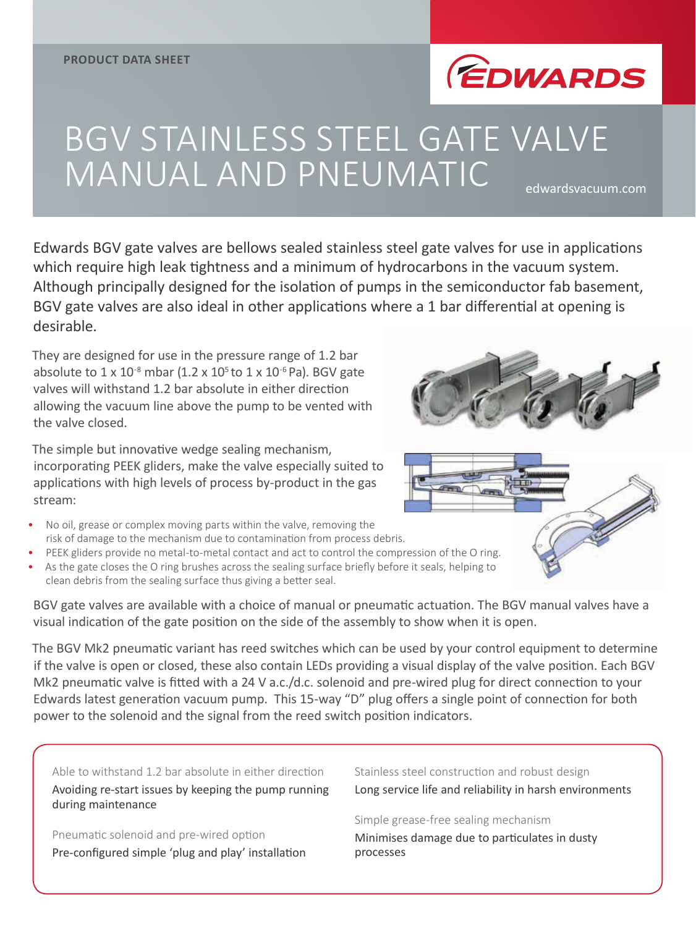

# BGV STAINLESS STEEL GATE VALVE MANUAL AND PNEUMATIC edwardsvacuum.com

Edwards BGV gate valves are bellows sealed stainless steel gate valves for use in applications which require high leak tightness and a minimum of hydrocarbons in the vacuum system. Although principally designed for the isolation of pumps in the semiconductor fab basement, BGV gate valves are also ideal in other applications where a 1 bar differential at opening is desirable.

They are designed for use in the pressure range of 1.2 bar absolute to  $1 \times 10^{-8}$  mbar (1.2 x  $10^5$  to  $1 \times 10^{-6}$  Pa). BGV gate valves will withstand 1.2 bar absolute in either direction allowing the vacuum line above the pump to be vented with the valve closed.

The simple but innovative wedge sealing mechanism, incorporating PEEK gliders, make the valve especially suited to applications with high levels of process by-product in the gas stream:

- No oil, grease or complex moving parts within the valve, removing the risk of damage to the mechanism due to contamination from process debris.
- PEEK gliders provide no metal-to-metal contact and act to control the compression of the O ring.
- As the gate closes the O ring brushes across the sealing surface briefly before it seals, helping to clean debris from the sealing surface thus giving a better seal.

BGV gate valves are available with a choice of manual or pneumatic actuation. The BGV manual valves have a visual indication of the gate position on the side of the assembly to show when it is open.

The BGV Mk2 pneumatic variant has reed switches which can be used by your control equipment to determine if the valve is open or closed, these also contain LEDs providing a visual display of the valve position. Each BGV Mk2 pneumatic valve is fitted with a 24 V a.c./d.c. solenoid and pre-wired plug for direct connection to your Edwards latest generation vacuum pump. This 15-way "D" plug offers a single point of connection for both power to the solenoid and the signal from the reed switch position indicators.

Able to withstand 1.2 bar absolute in either direction Avoiding re-start issues by keeping the pump running during maintenance

Pneumatic solenoid and pre-wired option Pre-configured simple 'plug and play' installation Stainless steel construction and robust design Long service life and reliability in harsh environments

Simple grease-free sealing mechanism Minimises damage due to particulates in dusty processes



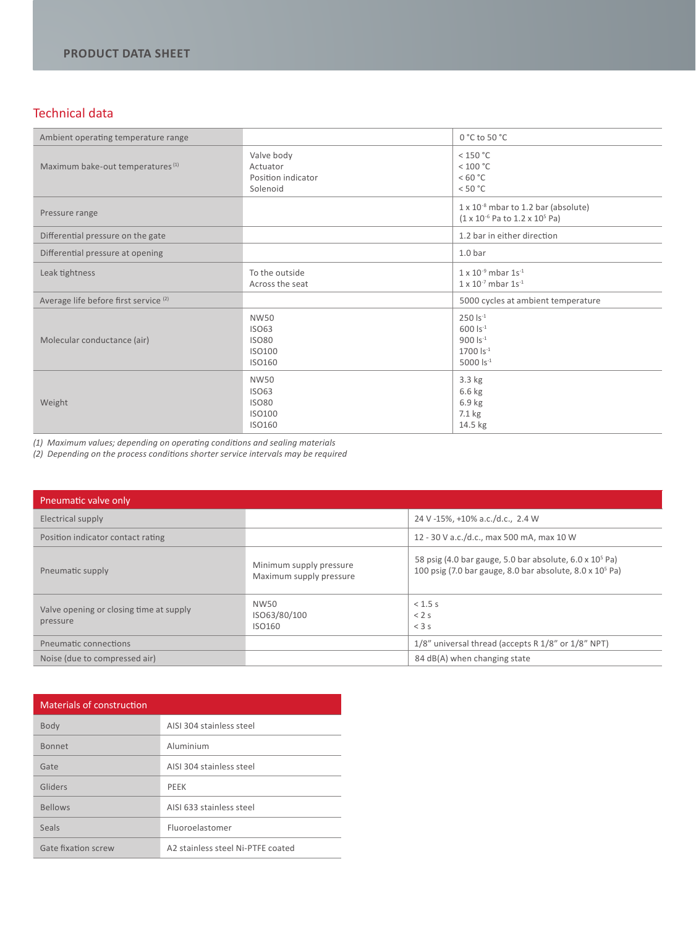### Technical data

| Ambient operating temperature range              |                                                                        | $0 °C$ to 50 $°C$                                                                                         |
|--------------------------------------------------|------------------------------------------------------------------------|-----------------------------------------------------------------------------------------------------------|
| Maximum bake-out temperatures <sup>(1)</sup>     | Valve body<br>Actuator<br>Position indicator<br>Solenoid               | $<$ 150 °C<br>< 100 °C<br>< 60 °C<br>< 50 °C                                                              |
| Pressure range                                   |                                                                        | $1 \times 10^{-8}$ mbar to 1.2 bar (absolute)<br>$(1 \times 10^{-6}$ Pa to $1.2 \times 10^{5}$ Pa)        |
| Differential pressure on the gate                |                                                                        | 1.2 bar in either direction                                                                               |
| Differential pressure at opening                 |                                                                        | 1.0 <sub>bar</sub>                                                                                        |
| Leak tightness                                   | To the outside<br>Across the seat                                      | $1 \times 10^{-9}$ mbar $1s^{-1}$<br>$1 \times 10^{-7}$ mbar $1s^{-1}$                                    |
| Average life before first service <sup>(2)</sup> |                                                                        | 5000 cycles at ambient temperature                                                                        |
| Molecular conductance (air)                      | <b>NW50</b><br><b>ISO63</b><br><b>ISO80</b><br><b>ISO100</b><br>ISO160 | $250$ $Is^{-1}$<br>$600$ $Is^{-1}$<br>$900$ $\text{Is}^{-1}$<br>$1700$ $\text{ls}^{-1}$<br>5000 $Is^{-1}$ |
| Weight                                           | <b>NW50</b><br><b>ISO63</b><br><b>ISO80</b><br>ISO100<br>ISO160        | $3.3$ kg<br>$6.6$ kg<br>6.9 kg<br>7.1 kg<br>14.5 kg                                                       |

*(1) Maximum values; depending on operating conditions and sealing materials*

*(2) Depending on the process conditions shorter service intervals may be required*

| Pneumatic valve only                                |                                                    |                                                                                                                                     |
|-----------------------------------------------------|----------------------------------------------------|-------------------------------------------------------------------------------------------------------------------------------------|
| Electrical supply                                   |                                                    | 24 V -15%, +10% a.c./d.c., 2.4 W                                                                                                    |
| Position indicator contact rating                   |                                                    | 12 - 30 V a.c./d.c., max 500 mA, max 10 W                                                                                           |
| Pneumatic supply                                    | Minimum supply pressure<br>Maximum supply pressure | 58 psig (4.0 bar gauge, 5.0 bar absolute, $6.0 \times 10^5$ Pa)<br>100 psig (7.0 bar gauge, 8.0 bar absolute, $8.0 \times 10^5$ Pa) |
| Valve opening or closing time at supply<br>pressure | NW50<br>ISO63/80/100<br>ISO160                     | $< 1.5$ s<br>< 2s<br>$<$ 3 s                                                                                                        |
| Pneumatic connections                               |                                                    | 1/8" universal thread (accepts R 1/8" or 1/8" NPT)                                                                                  |
| Noise (due to compressed air)                       |                                                    | 84 dB(A) when changing state                                                                                                        |

## Materials of construction

| Body                | AISI 304 stainless steel          |
|---------------------|-----------------------------------|
| <b>Bonnet</b>       | Aluminium                         |
| Gate                | AISI 304 stainless steel          |
| Gliders             | PFFK                              |
| <b>Bellows</b>      | AISI 633 stainless steel          |
| Seals               | Fluoroelastomer                   |
| Gate fixation screw | A2 stainless steel Ni-PTFE coated |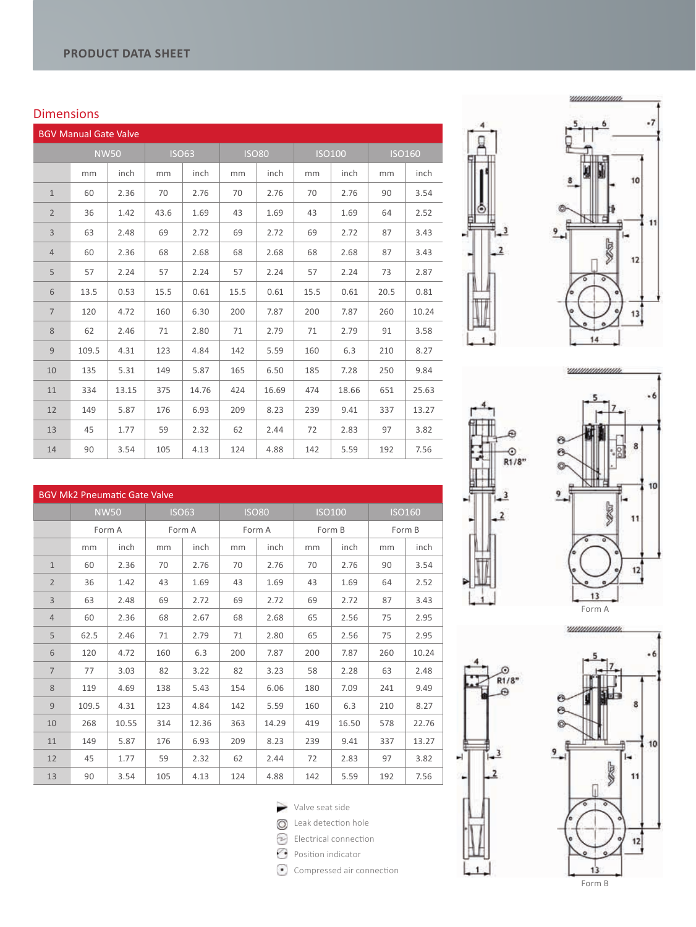BGV Mk2 Pneumatic Gate Valve

#### Dimensions

| <b>BGV Manual Gate Valve</b> |       |             |      |              |      |              |               |       |      |               |
|------------------------------|-------|-------------|------|--------------|------|--------------|---------------|-------|------|---------------|
|                              |       | <b>NW50</b> |      | <b>ISO63</b> |      | <b>ISO80</b> | <b>ISO100</b> |       |      | <b>ISO160</b> |
|                              | mm    | inch        | mm   | inch         | mm   | inch         | mm            | inch  | mm   | inch          |
| $1\,$                        | 60    | 2.36        | 70   | 2.76         | 70   | 2.76         | 70            | 2.76  | 90   | 3.54          |
| $\overline{2}$               | 36    | 1.42        | 43.6 | 1.69         | 43   | 1.69         | 43            | 1.69  | 64   | 2.52          |
| $\overline{3}$               | 63    | 2.48        | 69   | 2.72         | 69   | 2.72         | 69            | 2.72  | 87   | 3.43          |
| $\overline{4}$               | 60    | 2.36        | 68   | 2.68         | 68   | 2.68         | 68            | 2.68  | 87   | 3.43          |
| 5                            | 57    | 2.24        | 57   | 2.24         | 57   | 2.24         | 57            | 2.24  | 73   | 2.87          |
| 6                            | 13.5  | 0.53        | 15.5 | 0.61         | 15.5 | 0.61         | 15.5          | 0.61  | 20.5 | 0.81          |
| $\overline{7}$               | 120   | 4.72        | 160  | 6.30         | 200  | 7.87         | 200           | 7.87  | 260  | 10.24         |
| 8                            | 62    | 2.46        | 71   | 2.80         | 71   | 2.79         | 71            | 2.79  | 91   | 3.58          |
| $\overline{9}$               | 109.5 | 4.31        | 123  | 4.84         | 142  | 5.59         | 160           | 6.3   | 210  | 8.27          |
| 10                           | 135   | 5.31        | 149  | 5.87         | 165  | 6.50         | 185           | 7.28  | 250  | 9.84          |
| 11                           | 334   | 13.15       | 375  | 14.76        | 424  | 16.69        | 474           | 18.66 | 651  | 25.63         |
| 12                           | 149   | 5.87        | 176  | 6.93         | 209  | 8.23         | 239           | 9.41  | 337  | 13.27         |
| 13                           | 45    | 1.77        | 59   | 2.32         | 62   | 2.44         | 72            | 2.83  | 97   | 3.82          |
| 14                           | 90    | 3.54        | 105  | 4.13         | 124  | 4.88         | 142           | 5.59  | 192  | 7.56          |



 $_{R1/8}^{-0}$ 











|                |       | <b>NW50</b> |     | <b>ISO63</b> |     | <b>ISO80</b> |     | <b>ISO100</b> |     | <b>ISO160</b> |
|----------------|-------|-------------|-----|--------------|-----|--------------|-----|---------------|-----|---------------|
|                |       | Form A      |     | Form A       |     | Form A       |     | Form B        |     | Form B        |
|                | mm    | inch        | mm  | inch         | mm  | inch         | mm  | inch          | mm  | inch          |
| $\mathbf{1}$   | 60    | 2.36        | 70  | 2.76         | 70  | 2.76         | 70  | 2.76          | 90  | 3.54          |
| $\overline{2}$ | 36    | 1.42        | 43  | 1.69         | 43  | 1.69         | 43  | 1.69          | 64  | 2.52          |
| $\overline{3}$ | 63    | 2.48        | 69  | 2.72         | 69  | 2.72         | 69  | 2.72          | 87  | 3.43          |
| $\overline{4}$ | 60    | 2.36        | 68  | 2.67         | 68  | 2.68         | 65  | 2.56          | 75  | 2.95          |
| 5              | 62.5  | 2.46        | 71  | 2.79         | 71  | 2.80         | 65  | 2.56          | 75  | 2.95          |
| 6              | 120   | 4.72        | 160 | 6.3          | 200 | 7.87         | 200 | 7.87          | 260 | 10.24         |
| $\overline{7}$ | 77    | 3.03        | 82  | 3.22         | 82  | 3.23         | 58  | 2.28          | 63  | 2.48          |
| 8              | 119   | 4.69        | 138 | 5.43         | 154 | 6.06         | 180 | 7.09          | 241 | 9.49          |
| 9              | 109.5 | 4.31        | 123 | 4.84         | 142 | 5.59         | 160 | 6.3           | 210 | 8.27          |
| 10             | 268   | 10.55       | 314 | 12.36        | 363 | 14.29        | 419 | 16.50         | 578 | 22.76         |
| 11             | 149   | 5.87        | 176 | 6.93         | 209 | 8.23         | 239 | 9.41          | 337 | 13.27         |
| 12             | 45    | 1.77        | 59  | 2.32         | 62  | 2.44         | 72  | 2.83          | 97  | 3.82          |
| 13             | 90    | 3.54        | 105 | 4.13         | 124 | 4.88         | 142 | 5.59          | 192 | 7.56          |

Valve seat side

**Q** Leak detection hole

Electrical connection

- **Position indicator**
- Compressed air connection